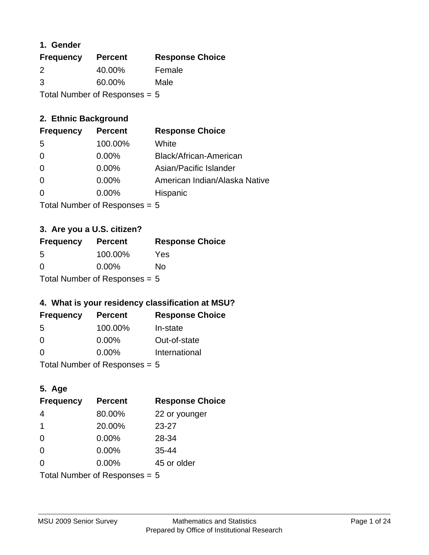### **1. Gender**

| <b>Frequency</b> | <b>Percent</b>                  | <b>Response Choice</b> |
|------------------|---------------------------------|------------------------|
| 2                | 40.00%                          | Female                 |
| 3                | 60.00%                          | Male                   |
|                  | Total Number of Responses = $5$ |                        |

### **2. Ethnic Background**

| <b>Frequency</b> | <b>Percent</b> | <b>Response Choice</b>        |
|------------------|----------------|-------------------------------|
| -5               | 100.00%        | White                         |
| $\Omega$         | $0.00\%$       | Black/African-American        |
| $\Omega$         | $0.00\%$       | Asian/Pacific Islander        |
| $\Omega$         | 0.00%          | American Indian/Alaska Native |
|                  | $0.00\%$       | Hispanic                      |
|                  |                |                               |

Total Number of Responses = 5

### **3. Are you a U.S. citizen?**

| <b>Frequency</b> | <b>Percent</b>                  | <b>Response Choice</b> |
|------------------|---------------------------------|------------------------|
| -5               | 100.00%                         | Yes                    |
| $\Omega$         | $0.00\%$                        | Nο                     |
|                  | Total Number of Responses = $5$ |                        |

### **4. What is your residency classification at MSU?**

| <b>Frequency</b> | <b>Percent</b> | <b>Response Choice</b> |
|------------------|----------------|------------------------|
| -5               | 100.00%        | In-state               |
| 0                | $0.00\%$       | Out-of-state           |
| $\Omega$         | $0.00\%$       | International          |
|                  |                |                        |

Total Number of Responses = 5

### **5. Age**

| <b>Frequency</b>                | <b>Percent</b> | <b>Response Choice</b> |
|---------------------------------|----------------|------------------------|
| 4                               | 80.00%         | 22 or younger          |
| -1                              | 20.00%         | $23 - 27$              |
| $\Omega$                        | 0.00%          | 28-34                  |
| $\Omega$                        | 0.00%          | $35 - 44$              |
| $\Omega$                        | 0.00%          | 45 or older            |
| Total Number of Responses = $5$ |                |                        |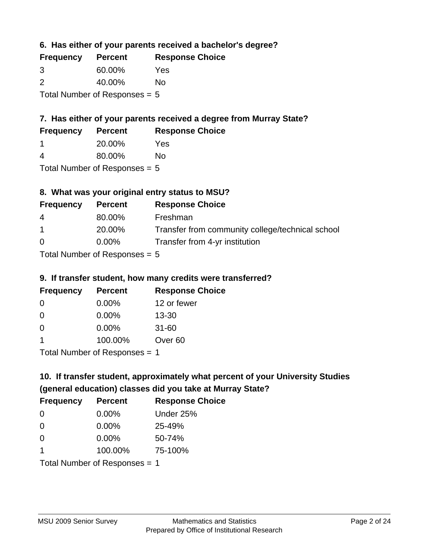**6. Has either of your parents received a bachelor's degree?**

| <b>Frequency</b> | <b>Percent</b>                  | <b>Response Choice</b> |
|------------------|---------------------------------|------------------------|
| 3                | 60.00%                          | Yes                    |
| $\mathcal{P}$    | 40.00%                          | Nο                     |
|                  | Total Number of Responses = $5$ |                        |

### **7. Has either of your parents received a degree from Murray State?**

| <b>Frequency</b> | <b>Percent</b> | <b>Response Choice</b> |
|------------------|----------------|------------------------|
|                  | 20.00%         | Yes                    |

| 4 | 80.00% | No |
|---|--------|----|
|   |        |    |

Total Number of Responses = 5

### **8. What was your original entry status to MSU?**

| <b>Frequency</b> | <b>Percent</b> | <b>Response Choice</b>                           |
|------------------|----------------|--------------------------------------------------|
| 4                | 80.00%         | Freshman                                         |
| $\overline{1}$   | 20.00%         | Transfer from community college/technical school |
| $\Omega$         | $0.00\%$       | Transfer from 4-yr institution                   |
|                  |                |                                                  |

Total Number of Responses = 5

#### **9. If transfer student, how many credits were transferred?**

| <b>Frequency</b>               | <b>Percent</b> | <b>Response Choice</b> |
|--------------------------------|----------------|------------------------|
| -0                             | $0.00\%$       | 12 or fewer            |
| 0                              | $0.00\%$       | $13 - 30$              |
| 0                              | $0.00\%$       | $31 - 60$              |
|                                | 100.00%        | Over <sub>60</sub>     |
| $Total Number of DoEROROR = 1$ |                |                        |

Total Number of Responses = 1

# **10. If transfer student, approximately what percent of your University Studies (general education) classes did you take at Murray State?**

| <b>Frequency</b>                | <b>Percent</b> | <b>Response Choice</b> |
|---------------------------------|----------------|------------------------|
| $\Omega$                        | $0.00\%$       | Under 25%              |
| $\Omega$                        | 0.00%          | 25-49%                 |
| $\Omega$                        | 0.00%          | 50-74%                 |
| 1                               | 100.00%        | 75-100%                |
| Total Number of Responses $= 1$ |                |                        |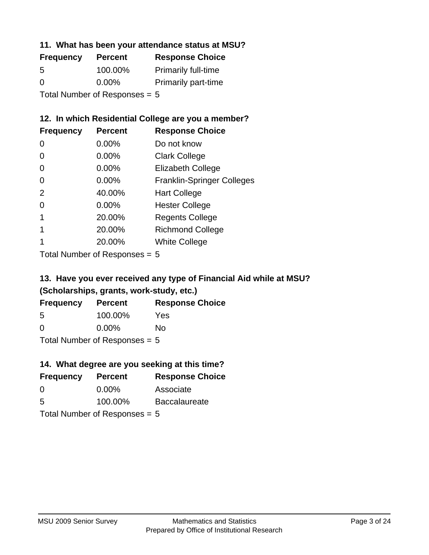#### **11. What has been your attendance status at MSU?**

| <b>Frequency</b>                | <b>Percent</b> | <b>Response Choice</b>     |
|---------------------------------|----------------|----------------------------|
| 5                               | 100.00%        | <b>Primarily full-time</b> |
| $\Omega$                        | $0.00\%$       | <b>Primarily part-time</b> |
| Total Number of Responses = $5$ |                |                            |

### **12. In which Residential College are you a member?**

| <b>Frequency</b> | <b>Percent</b> | <b>Response Choice</b>            |
|------------------|----------------|-----------------------------------|
| 0                | 0.00%          | Do not know                       |
| 0                | $0.00\%$       | <b>Clark College</b>              |
| 0                | 0.00%          | <b>Elizabeth College</b>          |
| 0                | $0.00\%$       | <b>Franklin-Springer Colleges</b> |
| 2                | 40.00%         | <b>Hart College</b>               |
| 0                | 0.00%          | <b>Hester College</b>             |
|                  | 20.00%         | <b>Regents College</b>            |
|                  | 20.00%         | <b>Richmond College</b>           |
|                  | 20.00%         | <b>White College</b>              |

Total Number of Responses = 5

### **13. Have you ever received any type of Financial Aid while at MSU? (Scholarships, grants, work-study, etc.)**

| <b>Frequency</b>                | <b>Percent</b> | <b>Response Choice</b> |
|---------------------------------|----------------|------------------------|
| 5                               | 100.00%        | Yes                    |
| 0                               | $0.00\%$       | No                     |
| Total Number of Responses = $5$ |                |                        |

**14. What degree are you seeking at this time?**

| <b>Frequency</b> | <b>Percent</b>                  | <b>Response Choice</b> |
|------------------|---------------------------------|------------------------|
| $\Omega$         | $0.00\%$                        | Associate              |
| 5                | 100.00%                         | <b>Baccalaureate</b>   |
|                  | Total Number of Responses = $5$ |                        |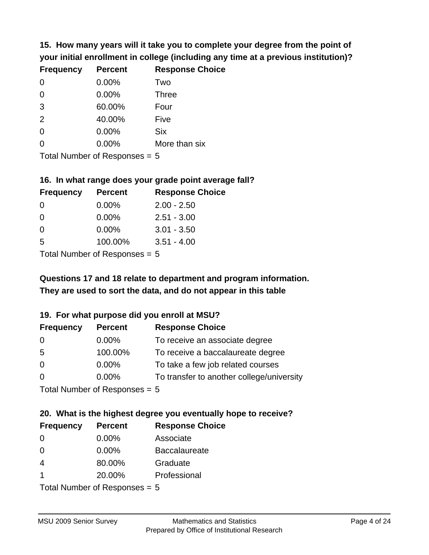**15. How many years will it take you to complete your degree from the point of your initial enrollment in college (including any time at a previous institution)?**

| <b>Frequency</b> | <b>Percent</b> | <b>Response Choice</b> |
|------------------|----------------|------------------------|
| 0                | 0.00%          | Two                    |
| 0                | 0.00%          | <b>Three</b>           |
| 3                | 60.00%         | Four                   |
| 2                | 40.00%         | Five                   |
| $\overline{0}$   | 0.00%          | <b>Six</b>             |
| $\overline{0}$   | 0.00%          | More than six          |
|                  |                |                        |

Total Number of Responses = 5

#### **16. In what range does your grade point average fall?**

| <b>Frequency</b> | <b>Percent</b>               | <b>Response Choice</b> |
|------------------|------------------------------|------------------------|
| 0                | 0.00%                        | $2.00 - 2.50$          |
| 0                | $0.00\%$                     | $2.51 - 3.00$          |
| 0                | $0.00\%$                     | $3.01 - 3.50$          |
| 5                | 100.00%                      | $3.51 - 4.00$          |
|                  | $\tau$ . The state of $\sim$ |                        |

Total Number of Responses = 5

# **They are used to sort the data, and do not appear in this table Questions 17 and 18 relate to department and program information.**

#### **19. For what purpose did you enroll at MSU?**

| <b>Frequency</b>            | <b>Percent</b> | <b>Response Choice</b>                    |
|-----------------------------|----------------|-------------------------------------------|
| 0                           | $0.00\%$       | To receive an associate degree            |
| 5                           | 100.00%        | To receive a baccalaureate degree         |
| $\overline{0}$              | $0.00\%$       | To take a few job related courses         |
| $\Omega$                    | $0.00\%$       | To transfer to another college/university |
| Total Number of Desponses E |                |                                           |

I otal Number of Responses  $= 5$ 

# **20. What is the highest degree you eventually hope to receive?**

| <b>Frequency</b> | <b>Percent</b>                 | <b>Response Choice</b> |
|------------------|--------------------------------|------------------------|
| 0                | $0.00\%$                       | Associate              |
| 0                | $0.00\%$                       | <b>Baccalaureate</b>   |
| $\overline{4}$   | 80.00%                         | Graduate               |
| -1               | 20.00%                         | Professional           |
|                  | $Total Number of Denonone = F$ |                        |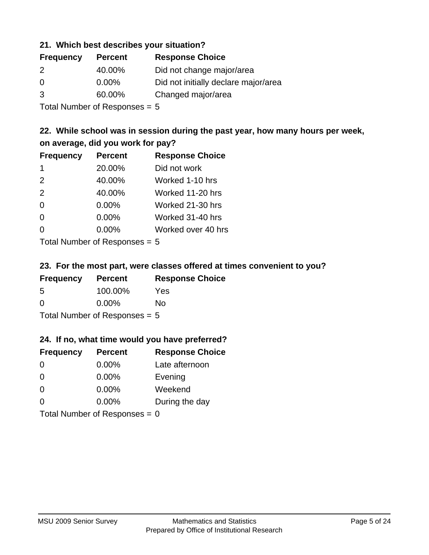#### **21. Which best describes your situation?**

| <b>Frequency</b> | <b>Percent</b> | <b>Response Choice</b>               |
|------------------|----------------|--------------------------------------|
| 2                | 40.00%         | Did not change major/area            |
| $\Omega$         | $0.00\%$       | Did not initially declare major/area |
| 3                | 60.00%         | Changed major/area                   |

Total Number of Responses = 5

### **22. While school was in session during the past year, how many hours per week, on average, did you work for pay?**

| <b>Frequency</b> | <b>Percent</b> | <b>Response Choice</b> |
|------------------|----------------|------------------------|
| -1               | 20.00%         | Did not work           |
| 2                | 40.00%         | Worked 1-10 hrs        |
| 2                | 40.00%         | Worked 11-20 hrs       |
| $\Omega$         | 0.00%          | Worked 21-30 hrs       |
| $\Omega$         | 0.00%          | Worked 31-40 hrs       |
| 0                | 0.00%          | Worked over 40 hrs     |
|                  |                |                        |

Total Number of Responses = 5

#### **23. For the most part, were classes offered at times convenient to you?**

| <b>Frequency</b>                | <b>Percent</b> | <b>Response Choice</b> |
|---------------------------------|----------------|------------------------|
| .5                              | 100.00%        | Yes                    |
| $\Omega$                        | $0.00\%$       | Nο                     |
| Total Number of Responses = $5$ |                |                        |

#### **24. If no, what time would you have preferred?**

| <b>Frequency</b> | <b>Percent</b>                  | <b>Response Choice</b> |
|------------------|---------------------------------|------------------------|
| $\Omega$         | $0.00\%$                        | Late afternoon         |
| $\Omega$         | 0.00%                           | Evening                |
| $\Omega$         | $0.00\%$                        | Weekend                |
| $\Omega$         | $0.00\%$                        | During the day         |
|                  | Total Number of Responses = $0$ |                        |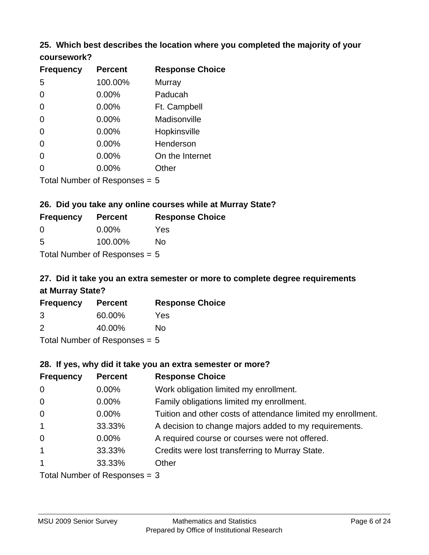#### **25. Which best describes the location where you completed the majority of your coursework?**

| <b>Frequency</b> | <b>Percent</b>             | <b>Response Choice</b> |
|------------------|----------------------------|------------------------|
| 5                | 100.00%                    | <b>Murray</b>          |
| $\overline{0}$   | 0.00%                      | Paducah                |
| $\Omega$         | 0.00%                      | Ft. Campbell           |
| $\overline{0}$   | 0.00%                      | Madisonville           |
| $\overline{0}$   | 0.00%                      | Hopkinsville           |
| 0                | 0.00%                      | Henderson              |
| $\overline{0}$   | 0.00%                      | On the Internet        |
| 0                | 0.00%                      | Other                  |
|                  | Total Number of Deepersoon |                        |

Total Number of Responses = 5

#### **26. Did you take any online courses while at Murray State?**

| <b>Frequency</b>                | <b>Percent</b> | <b>Response Choice</b> |
|---------------------------------|----------------|------------------------|
| -0                              | $0.00\%$       | Yes                    |
| -5                              | 100.00%        | No                     |
| Total Number of Responses $= 5$ |                |                        |

# **27. Did it take you an extra semester or more to complete degree requirements at Murray State?**

| <b>Frequency</b>          | <b>Percent</b> | <b>Response Choice</b> |
|---------------------------|----------------|------------------------|
| 3                         | 60.00%         | Yes                    |
| $\mathcal{P}$             | 40.00%         | No                     |
| Total Number of Deepersee |                |                        |

Total Number of Responses = 5

#### **28. If yes, why did it take you an extra semester or more?**

| <b>Frequency</b> | <b>Percent</b>                  | <b>Response Choice</b>                                       |
|------------------|---------------------------------|--------------------------------------------------------------|
| $\mathbf 0$      | 0.00%                           | Work obligation limited my enrollment.                       |
| $\mathbf 0$      | $0.00\%$                        | Family obligations limited my enrollment.                    |
| $\mathbf 0$      | $0.00\%$                        | Tuition and other costs of attendance limited my enrollment. |
| $\mathbf{1}$     | 33.33%                          | A decision to change majors added to my requirements.        |
| $\mathbf 0$      | $0.00\%$                        | A required course or courses were not offered.               |
| $\mathbf{1}$     | 33.33%                          | Credits were lost transferring to Murray State.              |
| $\mathbf{1}$     | 33.33%                          | Other                                                        |
|                  | Total Number of Responses $=$ 3 |                                                              |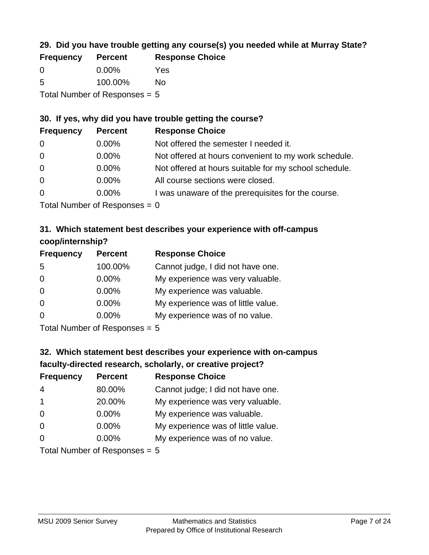### **29. Did you have trouble getting any course(s) you needed while at Murray State?**

| <b>Frequency</b>                | <b>Percent</b> | <b>Response Choice</b> |
|---------------------------------|----------------|------------------------|
| - 0                             | $0.00\%$       | Yes                    |
| -5                              | 100.00%        | Nο                     |
| Total Number of Responses $= 5$ |                |                        |

#### **30. If yes, why did you have trouble getting the course?**

| <b>Frequency</b> | <b>Percent</b> | <b>Response Choice</b>                                |
|------------------|----------------|-------------------------------------------------------|
| $\overline{0}$   | $0.00\%$       | Not offered the semester I needed it.                 |
| $\overline{0}$   | $0.00\%$       | Not offered at hours convenient to my work schedule.  |
| $\overline{0}$   | $0.00\%$       | Not offered at hours suitable for my school schedule. |
| $\overline{0}$   | $0.00\%$       | All course sections were closed.                      |
| $\overline{0}$   | $0.00\%$       | I was unaware of the prerequisites for the course.    |
|                  |                |                                                       |

Total Number of Responses  $= 0$ 

### **31. Which statement best describes your experience with off-campus coop/internship?**

| <b>Frequency</b> | <b>Percent</b>                | <b>Response Choice</b>             |
|------------------|-------------------------------|------------------------------------|
| 5                | 100.00%                       | Cannot judge, I did not have one.  |
| $\Omega$         | 0.00%                         | My experience was very valuable.   |
| $\Omega$         | 0.00%                         | My experience was valuable.        |
| $\Omega$         | 0.00%                         | My experience was of little value. |
| $\Omega$         | $0.00\%$                      | My experience was of no value.     |
|                  | Tetal Nives box of Desperance |                                    |

Total Number of Responses = 5

# **32. Which statement best describes your experience with on-campus faculty-directed research, scholarly, or creative project?**

| <b>Frequency</b> | <b>Percent</b>                 | <b>Response Choice</b>             |
|------------------|--------------------------------|------------------------------------|
| $\overline{4}$   | 80.00%                         | Cannot judge; I did not have one.  |
| $\mathbf{1}$     | 20.00%                         | My experience was very valuable.   |
| $\Omega$         | $0.00\%$                       | My experience was valuable.        |
| $\Omega$         | 0.00%                          | My experience was of little value. |
| $\Omega$         | 0.00%                          | My experience was of no value.     |
|                  | $Total Number of Denonone = F$ |                                    |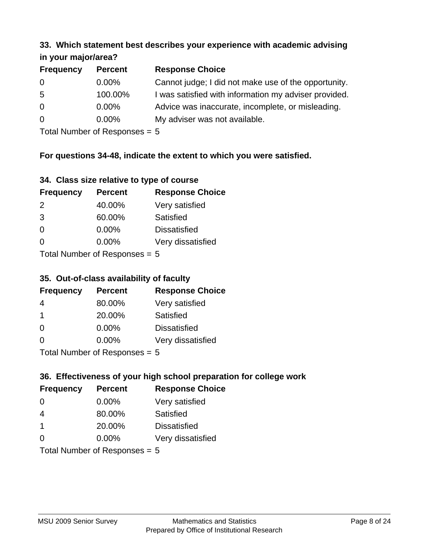#### **33. Which statement best describes your experience with academic advising in your major/area?**

| $\cdots$ your mapproved. |                |                                                       |
|--------------------------|----------------|-------------------------------------------------------|
| <b>Frequency</b>         | <b>Percent</b> | <b>Response Choice</b>                                |
| 0                        | $0.00\%$       | Cannot judge; I did not make use of the opportunity.  |
| 5                        | 100.00%        | I was satisfied with information my adviser provided. |
| $\overline{0}$           | $0.00\%$       | Advice was inaccurate, incomplete, or misleading.     |
| $\overline{0}$           | 0.00%          | My adviser was not available.                         |
|                          |                |                                                       |

Total Number of Responses = 5

### **For questions 34-48, indicate the extent to which you were satisfied.**

| 34. Class size relative to type of course |
|-------------------------------------------|
|-------------------------------------------|

| <b>Frequency</b>              | <b>Percent</b> | <b>Response Choice</b> |  |
|-------------------------------|----------------|------------------------|--|
| 2                             | 40.00%         | Very satisfied         |  |
| 3                             | 60.00%         | Satisfied              |  |
| $\Omega$                      | $0.00\%$       | <b>Dissatisfied</b>    |  |
| $\Omega$                      | $0.00\%$       | Very dissatisfied      |  |
| $Total Number of Denance = 5$ |                |                        |  |

 $Total$  Number of Responses  $= 5$ 

#### **35. Out-of-class availability of faculty**

| <b>Frequency</b> | <b>Percent</b>            | <b>Response Choice</b> |
|------------------|---------------------------|------------------------|
| 4                | 80.00%                    | Very satisfied         |
| $\mathbf 1$      | 20.00%                    | Satisfied              |
| $\Omega$         | $0.00\%$                  | <b>Dissatisfied</b>    |
| $\Omega$         | $0.00\%$                  | Very dissatisfied      |
|                  | Total Number of Deepensee |                        |

Total Number of Responses = 5

### **36. Effectiveness of your high school preparation for college work**

| <b>Frequency</b> | <b>Percent</b>                  | <b>Response Choice</b> |
|------------------|---------------------------------|------------------------|
| $\Omega$         | $0.00\%$                        | Very satisfied         |
| 4                | 80.00%                          | Satisfied              |
| $\mathbf 1$      | 20.00%                          | <b>Dissatisfied</b>    |
| $\Omega$         | $0.00\%$                        | Very dissatisfied      |
|                  | Total Number of Responses = $5$ |                        |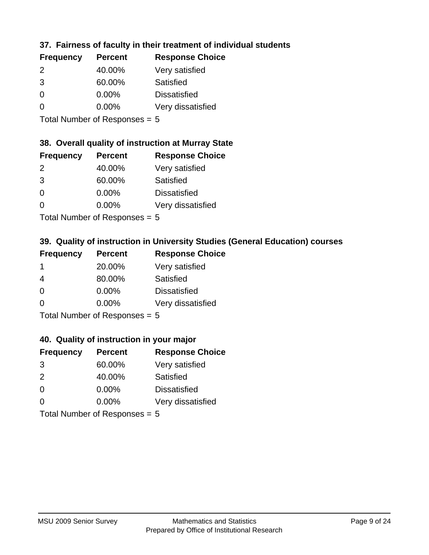### **37. Fairness of faculty in their treatment of individual students**

| <b>Frequency</b> | <b>Percent</b> | <b>Response Choice</b> |
|------------------|----------------|------------------------|
| $\mathcal{P}$    | 40.00%         | Very satisfied         |
| 3                | 60.00%         | Satisfied              |
| $\Omega$         | 0.00%          | <b>Dissatisfied</b>    |
| $\Omega$         | 0.00%          | Very dissatisfied      |
|                  |                |                        |

Total Number of Responses = 5

### **38. Overall quality of instruction at Murray State**

| <b>Frequency</b> | <b>Percent</b> | <b>Response Choice</b> |
|------------------|----------------|------------------------|
| $\mathcal{P}$    | 40.00%         | Very satisfied         |
| 3                | 60.00%         | Satisfied              |
| $\Omega$         | 0.00%          | <b>Dissatisfied</b>    |
| $\Omega$         | 0.00%          | Very dissatisfied      |
|                  |                |                        |

Total Number of Responses = 5

### **39. Quality of instruction in University Studies (General Education) courses**

| <b>Frequency</b> | <b>Percent</b>             | <b>Response Choice</b> |
|------------------|----------------------------|------------------------|
|                  | 20.00%                     | Very satisfied         |
| 4                | 80.00%                     | Satisfied              |
| $\Omega$         | 0.00%                      | <b>Dissatisfied</b>    |
| $\Omega$         | 0.00%                      | Very dissatisfied      |
|                  | Tatal Number of Desperance |                        |

Total Number of Responses = 5

#### **40. Quality of instruction in your major**

| <b>Frequency</b>          | <b>Percent</b> | <b>Response Choice</b> |
|---------------------------|----------------|------------------------|
| 3                         | 60.00%         | Very satisfied         |
| $\mathcal{P}$             | 40.00%         | Satisfied              |
| $\Omega$                  | 0.00%          | <b>Dissatisfied</b>    |
| $\Omega$                  | 0.00%          | Very dissatisfied      |
| Total Number of Deepensee |                |                        |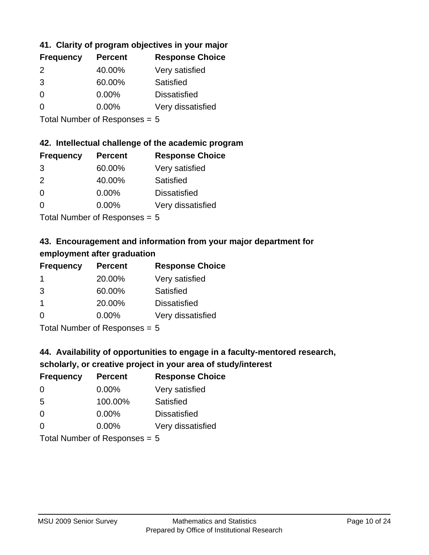### **41. Clarity of program objectives in your major**

| <b>Frequency</b> | <b>Percent</b> | <b>Response Choice</b> |
|------------------|----------------|------------------------|
| $\mathcal{P}$    | 40.00%         | Very satisfied         |
| 3                | 60.00%         | Satisfied              |
| $\Omega$         | $0.00\%$       | <b>Dissatisfied</b>    |
| O                | $0.00\%$       | Very dissatisfied      |
|                  |                |                        |

Total Number of Responses = 5

#### **42. Intellectual challenge of the academic program**

| <b>Frequency</b> | <b>Percent</b> | <b>Response Choice</b> |
|------------------|----------------|------------------------|
| 3                | 60.00%         | Very satisfied         |
| $\mathcal{P}$    | 40.00%         | Satisfied              |
| $\Omega$         | 0.00%          | <b>Dissatisfied</b>    |
| ∩                | 0.00%          | Very dissatisfied      |
|                  |                |                        |

Total Number of Responses = 5

### **43. Encouragement and information from your major department for employment after graduation**

| <b>Frequency</b>     | <b>Percent</b>                | <b>Response Choice</b> |
|----------------------|-------------------------------|------------------------|
| -1                   | 20.00%                        | Very satisfied         |
| 3                    | 60.00%                        | Satisfied              |
| $\blacktriangleleft$ | 20.00%                        | <b>Dissatisfied</b>    |
| $\Omega$             | $0.00\%$                      | Very dissatisfied      |
|                      | Total Nives box of Doom owned |                        |

Total Number of Responses = 5

### **44. Availability of opportunities to engage in a faculty-mentored research,**

### **scholarly, or creative project in your area of study/interest**

| <b>Frequency</b> | <b>Percent</b> | <b>Response Choice</b> |
|------------------|----------------|------------------------|
| 0                | $0.00\%$       | Very satisfied         |
| 5                | 100.00%        | Satisfied              |
| $\Omega$         | $0.00\%$       | <b>Dissatisfied</b>    |
| $\Omega$         | 0.00%          | Very dissatisfied      |
|                  |                |                        |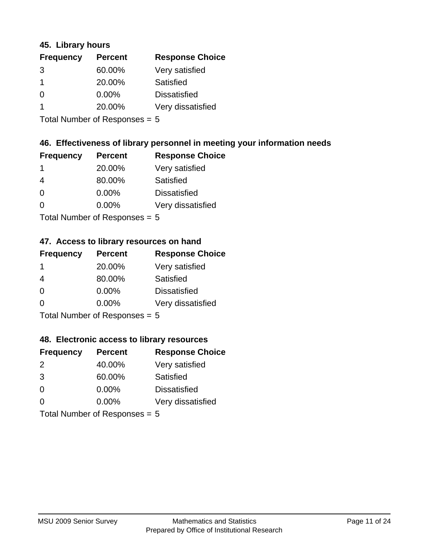#### **45. Library hours**

| <b>Frequency</b> | <b>Percent</b> | <b>Response Choice</b> |
|------------------|----------------|------------------------|
| 3                | 60.00%         | Very satisfied         |
|                  | 20.00%         | Satisfied              |
| $\Omega$         | 0.00%          | <b>Dissatisfied</b>    |
|                  | 20.00%         | Very dissatisfied      |
|                  |                |                        |

Total Number of Responses = 5

#### **46. Effectiveness of library personnel in meeting your information needs**

| <b>Frequency</b> | <b>Percent</b> | <b>Response Choice</b> |
|------------------|----------------|------------------------|
| 1                | 20.00%         | Very satisfied         |
|                  | 80.00%         | Satisfied              |
| ∩                | $0.00\%$       | <b>Dissatisfied</b>    |
| O                | $0.00\%$       | Very dissatisfied      |
|                  |                |                        |

Total Number of Responses = 5

#### **47. Access to library resources on hand**

| <b>Frequency</b> | <b>Percent</b>              | <b>Response Choice</b> |
|------------------|-----------------------------|------------------------|
| -1               | 20.00%                      | Very satisfied         |
| 4                | 80.00%                      | Satisfied              |
| $\Omega$         | $0.00\%$                    | <b>Dissatisfied</b>    |
| $\Omega$         | $0.00\%$                    | Very dissatisfied      |
|                  | Total Number of Desponses E |                        |

Total Number of Responses = 5

### **48. Electronic access to library resources**

| <b>Frequency</b>              | <b>Percent</b> | <b>Response Choice</b> |
|-------------------------------|----------------|------------------------|
| $\mathcal{P}$                 | 40.00%         | Very satisfied         |
| 3                             | 60.00%         | Satisfied              |
| $\Omega$                      | $0.00\%$       | <b>Dissatisfied</b>    |
| $\Omega$                      | 0.00%          | Very dissatisfied      |
| Total Number of Responses = 5 |                |                        |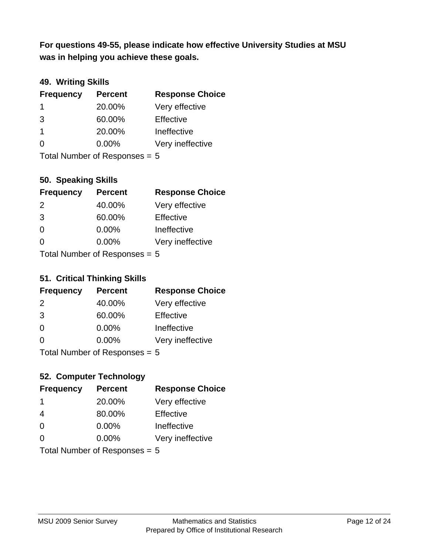**was in helping you achieve these goals. For questions 49-55, please indicate how effective University Studies at MSU** 

### **49. Writing Skills**

| <b>Frequency</b>                | <b>Percent</b> | <b>Response Choice</b> |
|---------------------------------|----------------|------------------------|
| -1                              | 20.00%         | Very effective         |
| 3                               | 60.00%         | Effective              |
| $\mathbf 1$                     | 20.00%         | Ineffective            |
| $\Omega$                        | $0.00\%$       | Very ineffective       |
| Total Number of Responses = $5$ |                |                        |

**50. Speaking Skills**

| <b>Frequency</b> | <b>Percent</b>            | <b>Response Choice</b> |
|------------------|---------------------------|------------------------|
| 2                | 40.00%                    | Very effective         |
| 3                | 60.00%                    | Effective              |
| $\Omega$         | 0.00%                     | Ineffective            |
| ∩                | 0.00%                     | Very ineffective       |
|                  | Total Number of Deepensee |                        |

Total Number of Responses = 5

#### **51. Critical Thinking Skills**

| <b>Frequency</b> | <b>Percent</b>            | <b>Response Choice</b> |
|------------------|---------------------------|------------------------|
| 2                | 40.00%                    | Very effective         |
| 3                | 60.00%                    | Effective              |
| $\Omega$         | 0.00%                     | Ineffective            |
| $\Omega$         | 0.00%                     | Very ineffective       |
|                  | Total Number of Deepensee |                        |

Total Number of Responses = 5

### **52. Computer Technology**

| <b>Frequency</b>                | <b>Percent</b> | <b>Response Choice</b> |
|---------------------------------|----------------|------------------------|
| -1                              | 20.00%         | Very effective         |
| 4                               | 80.00%         | Effective              |
| $\Omega$                        | $0.00\%$       | Ineffective            |
| $\Omega$                        | 0.00%          | Very ineffective       |
| Total Number of Responses = $5$ |                |                        |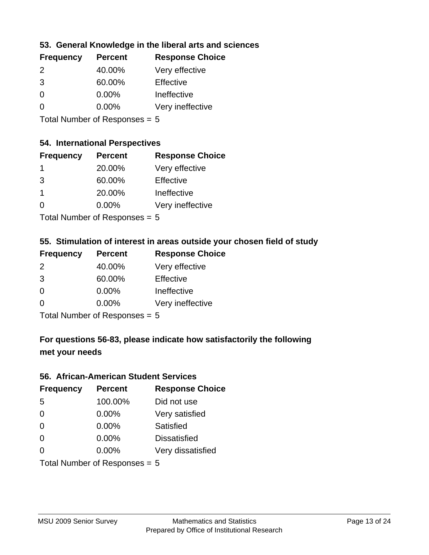### **53. General Knowledge in the liberal arts and sciences**

| <b>Frequency</b> | <b>Percent</b> | <b>Response Choice</b> |
|------------------|----------------|------------------------|
| 2                | 40.00%         | Very effective         |
| 3                | 60.00%         | Effective              |
| ∩                | $0.00\%$       | Ineffective            |
| O                | $0.00\%$       | Very ineffective       |
|                  |                |                        |

Total Number of Responses = 5

#### **54. International Perspectives**

| <b>Frequency</b> | <b>Percent</b> | <b>Response Choice</b> |
|------------------|----------------|------------------------|
| $\mathbf 1$      | 20.00%         | Very effective         |
| 3                | 60.00%         | Effective              |
| 1                | 20.00%         | Ineffective            |
| $\Omega$         | 0.00%          | Very ineffective       |
|                  |                |                        |

Total Number of Responses = 5

### **55. Stimulation of interest in areas outside your chosen field of study**

| <b>Frequency</b> | <b>Percent</b>            | <b>Response Choice</b> |
|------------------|---------------------------|------------------------|
| $\mathcal{P}$    | 40.00%                    | Very effective         |
| 3                | 60.00%                    | Effective              |
| $\Omega$         | 0.00%                     | Ineffective            |
| ∩                | 0.00%                     | Very ineffective       |
|                  | Total Number of Desponses |                        |

Total Number of Responses = 5

### **For questions 56-83, please indicate how satisfactorily the following met your needs**

#### **56. African-American Student Services**

| <b>Frequency</b> | <b>Percent</b>                  | <b>Response Choice</b> |
|------------------|---------------------------------|------------------------|
| 5                | 100.00%                         | Did not use            |
| $\Omega$         | 0.00%                           | Very satisfied         |
| $\Omega$         | 0.00%                           | <b>Satisfied</b>       |
| $\Omega$         | $0.00\%$                        | <b>Dissatisfied</b>    |
| $\Omega$         | 0.00%                           | Very dissatisfied      |
|                  | Total Number of Responses = $5$ |                        |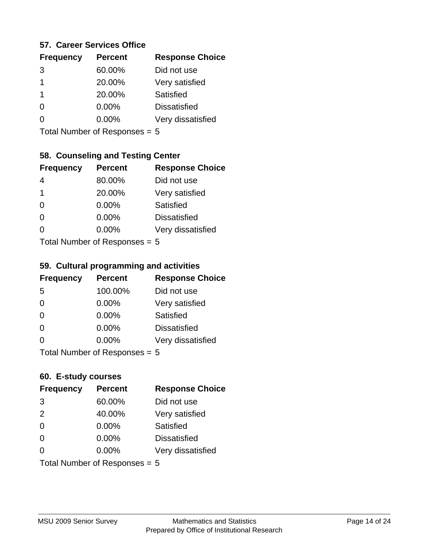#### **57. Career Services Office**

| <b>Frequency</b> | <b>Percent</b> | <b>Response Choice</b> |
|------------------|----------------|------------------------|
| 3                | 60.00%         | Did not use            |
| 1                | 20.00%         | Very satisfied         |
| 1                | 20.00%         | <b>Satisfied</b>       |
|                  | 0.00%          | <b>Dissatisfied</b>    |
|                  | $0.00\%$       | Very dissatisfied      |
|                  |                |                        |

Total Number of Responses = 5

### **58. Counseling and Testing Center**

| <b>Frequency</b> | <b>Percent</b>            | <b>Response Choice</b> |
|------------------|---------------------------|------------------------|
| 4                | 80.00%                    | Did not use            |
| 1                | 20.00%                    | Very satisfied         |
| $\Omega$         | 0.00%                     | <b>Satisfied</b>       |
| $\Omega$         | 0.00%                     | <b>Dissatisfied</b>    |
| 0                | $0.00\%$                  | Very dissatisfied      |
|                  | Total Number of Doopepooo |                        |

Total Number of Responses = 5

#### **59. Cultural programming and activities**

| <b>Frequency</b> | <b>Percent</b>            | <b>Response Choice</b> |
|------------------|---------------------------|------------------------|
| 5                | 100.00%                   | Did not use            |
| $\Omega$         | 0.00%                     | Very satisfied         |
| $\Omega$         | $0.00\%$                  | Satisfied              |
| $\Omega$         | $0.00\%$                  | <b>Dissatisfied</b>    |
| $\Omega$         | 0.00%                     | Very dissatisfied      |
|                  | Total Number of Desponses |                        |

Total Number of Responses = 5

#### **60. E-study courses**

| <b>Frequency</b>                | <b>Percent</b> | <b>Response Choice</b> |
|---------------------------------|----------------|------------------------|
| 3                               | 60.00%         | Did not use            |
| 2                               | 40.00%         | Very satisfied         |
| $\Omega$                        | 0.00%          | Satisfied              |
| $\Omega$                        | $0.00\%$       | <b>Dissatisfied</b>    |
| $\Omega$                        | 0.00%          | Very dissatisfied      |
| Total Number of Responses $= 5$ |                |                        |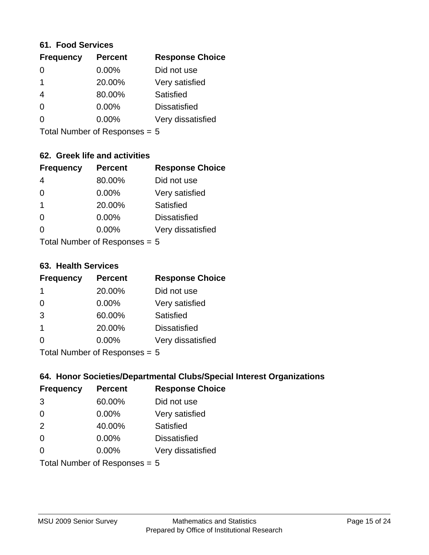#### **61. Food Services**

| <b>Frequency</b> | <b>Percent</b> | <b>Response Choice</b> |
|------------------|----------------|------------------------|
| $\left($         | 0.00%          | Did not use            |
|                  | 20.00%         | Very satisfied         |
| 4                | 80.00%         | Satisfied              |
| 0                | $0.00\%$       | <b>Dissatisfied</b>    |
|                  | $0.00\%$       | Very dissatisfied      |
|                  |                |                        |

Total Number of Responses = 5

### **62. Greek life and activities**

| <b>Frequency</b>                | <b>Percent</b> | <b>Response Choice</b> |
|---------------------------------|----------------|------------------------|
| 4                               | 80.00%         | Did not use            |
| $\Omega$                        | 0.00%          | Very satisfied         |
| 1                               | 20.00%         | Satisfied              |
| $\Omega$                        | 0.00%          | <b>Dissatisfied</b>    |
| O                               | $0.00\%$       | Very dissatisfied      |
| Total Number of Responses = $5$ |                |                        |

**63. Health Services**

| <b>Frequency</b> | <b>Percent</b>             | <b>Response Choice</b> |
|------------------|----------------------------|------------------------|
| -1               | 20.00%                     | Did not use            |
| 0                | $0.00\%$                   | Very satisfied         |
| 3                | 60.00%                     | Satisfied              |
| $\overline{1}$   | 20.00%                     | <b>Dissatisfied</b>    |
| $\Omega$         | 0.00%                      | Very dissatisfied      |
|                  | Tatal Number of Desperance |                        |

Total Number of Responses = 5

### **64. Honor Societies/Departmental Clubs/Special Interest Organizations**

| <b>Frequency</b>              | <b>Percent</b> | <b>Response Choice</b> |
|-------------------------------|----------------|------------------------|
| 3                             | 60.00%         | Did not use            |
| $\Omega$                      | $0.00\%$       | Very satisfied         |
| 2                             | 40.00%         | Satisfied              |
| $\Omega$                      | 0.00%          | <b>Dissatisfied</b>    |
| 0                             | 0.00%          | Very dissatisfied      |
| Total Number of Responses = 5 |                |                        |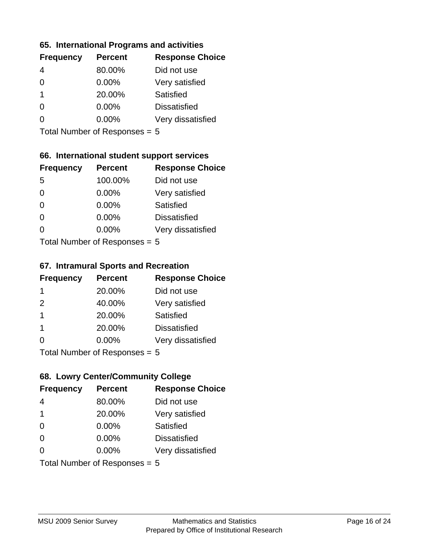#### **65. International Programs and activities**

| <b>Frequency</b> | <b>Percent</b> | <b>Response Choice</b> |
|------------------|----------------|------------------------|
|                  | 80.00%         | Did not use            |
| 0                | 0.00%          | Very satisfied         |
| 1                | 20.00%         | Satisfied              |
|                  | $0.00\%$       | <b>Dissatisfied</b>    |
|                  | $0.00\%$       | Very dissatisfied      |
|                  |                |                        |

Total Number of Responses = 5

### **66. International student support services**

| <b>Frequency</b>          | <b>Percent</b> | <b>Response Choice</b> |
|---------------------------|----------------|------------------------|
| 5                         | 100.00%        | Did not use            |
| 0                         | 0.00%          | Very satisfied         |
| $\Omega$                  | $0.00\%$       | Satisfied              |
| $\Omega$                  | 0.00%          | <b>Dissatisfied</b>    |
| 0                         | 0.00%          | Very dissatisfied      |
| Total Number of Desponses |                |                        |

Total Number of Responses = 5

#### **67. Intramural Sports and Recreation**

| <b>Frequency</b> | <b>Percent</b>            | <b>Response Choice</b> |
|------------------|---------------------------|------------------------|
| -1               | 20.00%                    | Did not use            |
| 2                | 40.00%                    | Very satisfied         |
| -1               | 20.00%                    | Satisfied              |
| -1               | 20.00%                    | <b>Dissatisfied</b>    |
| $\Omega$         | 0.00%                     | Very dissatisfied      |
|                  | Total Number of DoEROR 0. |                        |

Total Number of Responses = 5

### **68. Lowry Center/Community College**

| <b>Frequency</b> | <b>Percent</b>                  | <b>Response Choice</b> |
|------------------|---------------------------------|------------------------|
| 4                | 80.00%                          | Did not use            |
| -1               | 20.00%                          | Very satisfied         |
| $\Omega$         | 0.00%                           | <b>Satisfied</b>       |
| $\Omega$         | 0.00%                           | <b>Dissatisfied</b>    |
| $\Omega$         | $0.00\%$                        | Very dissatisfied      |
|                  | Total Number of Responses = $5$ |                        |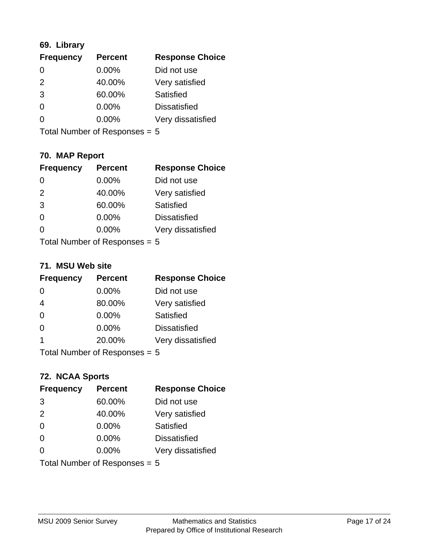### **69. Library**

| <b>Frequency</b> | <b>Percent</b> | <b>Response Choice</b> |
|------------------|----------------|------------------------|
| 0                | 0.00%          | Did not use            |
| $\mathcal{P}$    | 40.00%         | Very satisfied         |
| 3                | 60.00%         | Satisfied              |
| $\Omega$         | 0.00%          | <b>Dissatisfied</b>    |
| ∩                | $0.00\%$       | Very dissatisfied      |
|                  |                |                        |

Total Number of Responses = 5

### **70. MAP Report**

| <b>Frequency</b>                | <b>Percent</b> | <b>Response Choice</b> |
|---------------------------------|----------------|------------------------|
| $\Omega$                        | $0.00\%$       | Did not use            |
| 2                               | 40.00%         | Very satisfied         |
| 3                               | 60.00%         | Satisfied              |
| $\Omega$                        | 0.00%          | <b>Dissatisfied</b>    |
| 0                               | 0.00%          | Very dissatisfied      |
| Total Number of Responses = $5$ |                |                        |

#### **71. MSU Web site**

| <b>Frequency</b> | <b>Percent</b>                  | <b>Response Choice</b> |
|------------------|---------------------------------|------------------------|
| $\Omega$         | $0.00\%$                        | Did not use            |
| $\overline{4}$   | 80.00%                          | Very satisfied         |
| $\Omega$         | 0.00%                           | <b>Satisfied</b>       |
| $\Omega$         | 0.00%                           | <b>Dissatisfied</b>    |
| 1                | 20.00%                          | Very dissatisfied      |
|                  | Total Number of Responses $= 5$ |                        |

### **72. NCAA Sports**

| <b>Frequency</b> | <b>Percent</b>                  | <b>Response Choice</b> |
|------------------|---------------------------------|------------------------|
| 3                | 60.00%                          | Did not use            |
| 2                | 40.00%                          | Very satisfied         |
| $\Omega$         | 0.00%                           | Satisfied              |
| $\Omega$         | $0.00\%$                        | <b>Dissatisfied</b>    |
| $\Omega$         | 0.00%                           | Very dissatisfied      |
|                  | Total Number of Responses = $5$ |                        |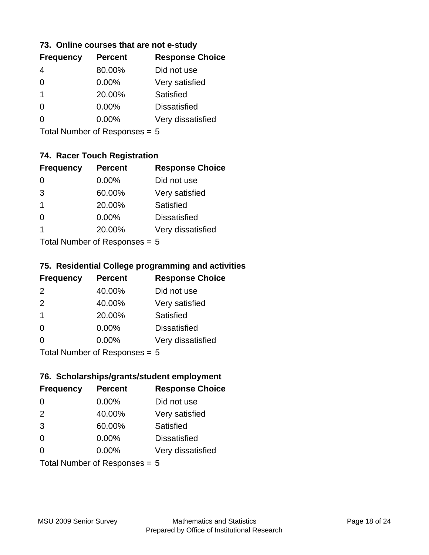#### **73. Online courses that are not e-study**

| <b>Frequency</b> | <b>Percent</b> | <b>Response Choice</b> |
|------------------|----------------|------------------------|
|                  | 80.00%         | Did not use            |
|                  | 0.00%          | Very satisfied         |
| 1                | 20.00%         | Satisfied              |
|                  | $0.00\%$       | <b>Dissatisfied</b>    |
|                  | $0.00\%$       | Very dissatisfied      |
|                  |                |                        |

Total Number of Responses = 5

### **74. Racer Touch Registration**

| <b>Frequency</b>           | <b>Percent</b> | <b>Response Choice</b> |
|----------------------------|----------------|------------------------|
| 0                          | $0.00\%$       | Did not use            |
| 3                          | 60.00%         | Very satisfied         |
| 1                          | 20.00%         | <b>Satisfied</b>       |
| 0                          | 0.00%          | <b>Dissatisfied</b>    |
| 1                          | 20.00%         | Very dissatisfied      |
| Total Number of Deepersoon |                |                        |

Total Number of Responses = 5

### **75. Residential College programming and activities**

| <b>Frequency</b>            | <b>Percent</b> | <b>Response Choice</b> |
|-----------------------------|----------------|------------------------|
| 2                           | 40.00%         | Did not use            |
| 2                           | 40.00%         | Very satisfied         |
| $\mathbf 1$                 | 20.00%         | Satisfied              |
| $\Omega$                    | 0.00%          | <b>Dissatisfied</b>    |
| $\Omega$                    | 0.00%          | Very dissatisfied      |
| Total Number of Despanses E |                |                        |

Total Number of Responses = 5

### **76. Scholarships/grants/student employment**

| <b>Frequency</b> | <b>Percent</b>                | <b>Response Choice</b> |
|------------------|-------------------------------|------------------------|
| $\Omega$         | 0.00%                         | Did not use            |
| 2                | 40.00%                        | Very satisfied         |
| 3                | 60.00%                        | <b>Satisfied</b>       |
| $\Omega$         | 0.00%                         | <b>Dissatisfied</b>    |
| $\Omega$         | 0.00%                         | Very dissatisfied      |
|                  | Total Number of Responses = 5 |                        |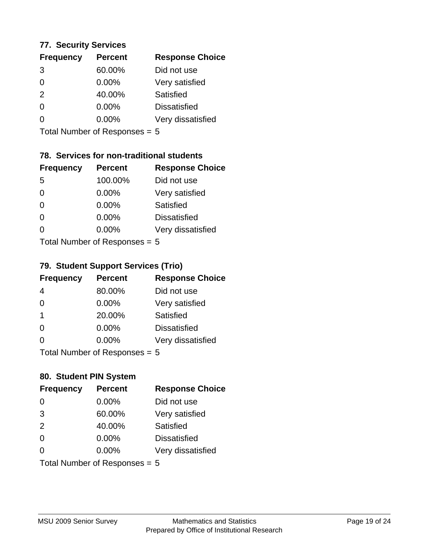#### **77. Security Services**

| <b>Frequency</b> | <b>Percent</b> | <b>Response Choice</b> |
|------------------|----------------|------------------------|
| 3                | 60.00%         | Did not use            |
| 0                | 0.00%          | Very satisfied         |
| 2                | 40.00%         | Satisfied              |
| $\Omega$         | $0.00\%$       | <b>Dissatisfied</b>    |
|                  | $0.00\%$       | Very dissatisfied      |
|                  |                |                        |

Total Number of Responses = 5

### **78. Services for non-traditional students**

| <b>Frequency</b>          | <b>Percent</b> | <b>Response Choice</b> |
|---------------------------|----------------|------------------------|
| -5                        | 100.00%        | Did not use            |
| 0                         | 0.00%          | Very satisfied         |
| $\Omega$                  | $0.00\%$       | <b>Satisfied</b>       |
| $\Omega$                  | $0.00\%$       | <b>Dissatisfied</b>    |
| 0                         | 0.00%          | Very dissatisfied      |
| Total Number of Desponses |                |                        |

Total Number of Responses = 5

### **79. Student Support Services (Trio)**

| <b>Frequency</b>          | <b>Percent</b> | <b>Response Choice</b> |
|---------------------------|----------------|------------------------|
| 4                         | 80.00%         | Did not use            |
| $\Omega$                  | $0.00\%$       | Very satisfied         |
| $\overline{\mathbf{1}}$   | 20.00%         | Satisfied              |
| $\Omega$                  | $0.00\%$       | <b>Dissatisfied</b>    |
| $\Omega$                  | 0.00%          | Very dissatisfied      |
| Total Number of Desponses |                |                        |

Total Number of Responses = 5

### **80. Student PIN System**

| <b>Frequency</b>              | <b>Percent</b> | <b>Response Choice</b> |
|-------------------------------|----------------|------------------------|
| 0                             | 0.00%          | Did not use            |
| 3                             | 60.00%         | Very satisfied         |
| 2                             | 40.00%         | Satisfied              |
| $\Omega$                      | $0.00\%$       | <b>Dissatisfied</b>    |
| $\Omega$                      | $0.00\%$       | Very dissatisfied      |
| Total Number of Responses = 5 |                |                        |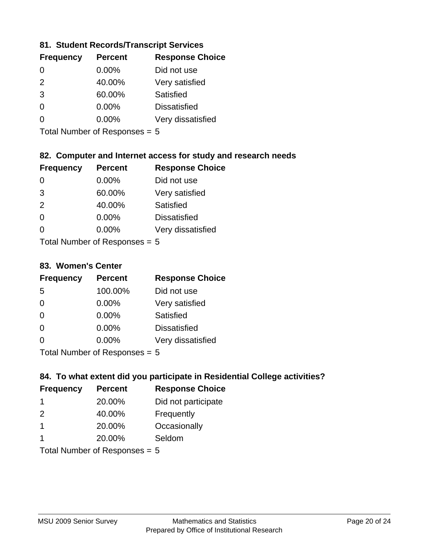### **81. Student Records/Transcript Services**

| <b>Percent</b> | <b>Response Choice</b> |
|----------------|------------------------|
| 0.00%          | Did not use            |
| 40.00%         | Very satisfied         |
| 60.00%         | Satisfied              |
| 0.00%          | <b>Dissatisfied</b>    |
| $0.00\%$       | Very dissatisfied      |
|                |                        |

Total Number of Responses = 5

### **82. Computer and Internet access for study and research needs**

| <b>Frequency</b> | <b>Percent</b>                                                     | <b>Response Choice</b> |
|------------------|--------------------------------------------------------------------|------------------------|
| 0                | 0.00%                                                              | Did not use            |
| 3                | 60.00%                                                             | Very satisfied         |
| 2                | 40.00%                                                             | Satisfied              |
| $\Omega$         | 0.00%                                                              | <b>Dissatisfied</b>    |
| ∩                | 0.00%                                                              | Very dissatisfied      |
|                  | $T$ at all Message and $R$ $\sim$ and $\sim$ and $\sim$ and $\sim$ |                        |

Total Number of Responses = 5

#### **83. Women's Center**

| <b>Frequency</b> | <b>Percent</b>             | <b>Response Choice</b> |
|------------------|----------------------------|------------------------|
| 5                | 100.00%                    | Did not use            |
| $\Omega$         | $0.00\%$                   | Very satisfied         |
| $\Omega$         | $0.00\%$                   | Satisfied              |
| $\Omega$         | 0.00%                      | <b>Dissatisfied</b>    |
| $\Omega$         | 0.00%                      | Very dissatisfied      |
|                  | Total Number of Deepersoon |                        |

Total Number of Responses = 5

### **84. To what extent did you participate in Residential College activities?**

| <b>Frequency</b> | <b>Percent</b>              | <b>Response Choice</b> |
|------------------|-----------------------------|------------------------|
|                  | 20.00%                      | Did not participate    |
| $\mathcal{P}$    | 40.00%                      | Frequently             |
|                  | 20.00%                      | Occasionally           |
|                  | 20.00%                      | Seldom                 |
|                  | $Total Number of Denonce -$ |                        |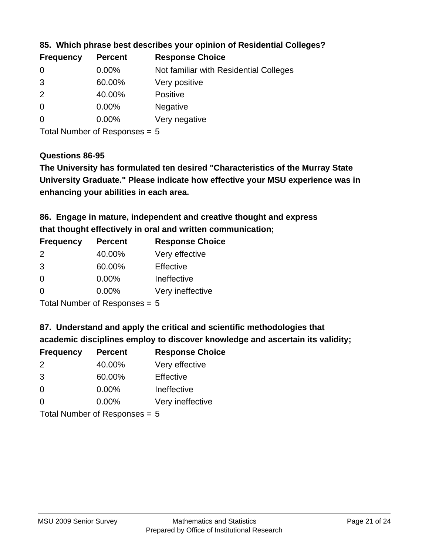| <b>Frequency</b> | <b>Percent</b> | <b>Response Choice</b>                 |
|------------------|----------------|----------------------------------------|
| 0                | $0.00\%$       | Not familiar with Residential Colleges |
| 3                | 60.00%         | Very positive                          |
| $\overline{2}$   | 40.00%         | <b>Positive</b>                        |
| $\overline{0}$   | 0.00%          | <b>Negative</b>                        |
| $\overline{0}$   | $0.00\%$       | Very negative                          |
|                  |                |                                        |

**85. Which phrase best describes your opinion of Residential Colleges?**

Total Number of Responses = 5

### **Questions 86-95**

**University Graduate." Please indicate how effective your MSU experience was in The University has formulated ten desired "Characteristics of the Murray State enhancing your abilities in each area.**

**86. Engage in mature, independent and creative thought and express that thought effectively in oral and written communication;**

| <b>Frequency</b> | <b>Percent</b> | <b>Response Choice</b> |
|------------------|----------------|------------------------|
| $\mathcal{P}$    | 40.00%         | Very effective         |
| 3                | 60.00%         | Effective              |
| $\Omega$         | 0.00%          | Ineffective            |
| ∩                | $0.00\%$       | Very ineffective       |

Total Number of Responses = 5

**87. Understand and apply the critical and scientific methodologies that** 

**academic disciplines employ to discover knowledge and ascertain its validity;**

| <b>Frequency</b> | <b>Percent</b> | <b>Response Choice</b> |
|------------------|----------------|------------------------|
| 2                | 40.00%         | Very effective         |
| 3                | 60.00%         | Effective              |
| $\Omega$         | 0.00%          | Ineffective            |
| $\Omega$         | 0.00%          | Very ineffective       |
|                  |                |                        |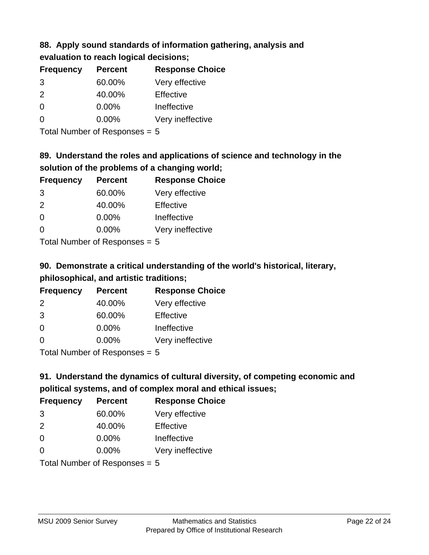# **88. Apply sound standards of information gathering, analysis and**

| evaluation to reach logical decisions; |  |
|----------------------------------------|--|
|----------------------------------------|--|

| <b>Frequency</b> | <b>Percent</b> | <b>Response Choice</b> |
|------------------|----------------|------------------------|
| 3                | 60.00%         | Very effective         |
| $\mathcal{P}$    | 40.00%         | Effective              |
| $\Omega$         | $0.00\%$       | Ineffective            |
| $\Omega$         | $0.00\%$       | Very ineffective       |

Total Number of Responses = 5

# **89. Understand the roles and applications of science and technology in the solution of the problems of a changing world;**

| <b>Frequency</b> | <b>Percent</b> | <b>Response Choice</b> |
|------------------|----------------|------------------------|
| 3                | 60.00%         | Very effective         |
| $\mathcal{P}$    | 40.00%         | Effective              |
| $\Omega$         | 0.00%          | Ineffective            |
| $\Omega$         | 0.00%          | Very ineffective       |
|                  |                |                        |

Total Number of Responses = 5

# **90. Demonstrate a critical understanding of the world's historical, literary, philosophical, and artistic traditions;**

| <b>Frequency</b> | <b>Percent</b> | <b>Response Choice</b> |
|------------------|----------------|------------------------|
| $\mathcal{P}$    | 40.00%         | Very effective         |
| 3                | 60.00%         | Effective              |
| $\Omega$         | 0.00%          | Ineffective            |
| ∩                | 0.00%          | Very ineffective       |
|                  |                |                        |

Total Number of Responses = 5

# **91. Understand the dynamics of cultural diversity, of competing economic and political systems, and of complex moral and ethical issues;**

| <b>Frequency</b> | <b>Percent</b>                  | <b>Response Choice</b> |
|------------------|---------------------------------|------------------------|
| 3                | 60.00%                          | Very effective         |
| $\mathcal{P}$    | 40.00%                          | Effective              |
| $\Omega$         | $0.00\%$                        | Ineffective            |
| $\Omega$         | $0.00\%$                        | Very ineffective       |
|                  | Total Number of Responses = $5$ |                        |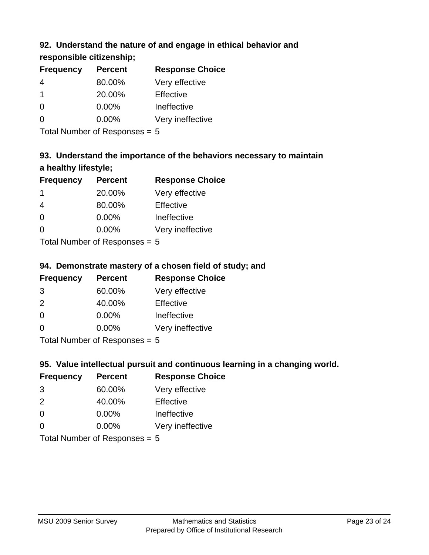### **92. Understand the nature of and engage in ethical behavior and**

### **responsible citizenship;**

| <b>Frequency</b> | <b>Percent</b> | <b>Response Choice</b> |
|------------------|----------------|------------------------|
| 4                | 80.00%         | Very effective         |
|                  | 20.00%         | Effective              |
| 0                | $0.00\%$       | Ineffective            |
| ∩                | $0.00\%$       | Very ineffective       |
|                  |                |                        |

Total Number of Responses = 5

# **93. Understand the importance of the behaviors necessary to maintain a healthy lifestyle;**

| <b>Frequency</b> | <b>Percent</b> | <b>Response Choice</b> |
|------------------|----------------|------------------------|
| -1               | 20.00%         | Very effective         |
| 4                | 80.00%         | Effective              |
| $\Omega$         | 0.00%          | Ineffective            |
| $\Omega$         | 0.00%          | Very ineffective       |
|                  |                |                        |

Total Number of Responses = 5

### **94. Demonstrate mastery of a chosen field of study; and**

| <b>Frequency</b> | <b>Percent</b> | <b>Response Choice</b> |
|------------------|----------------|------------------------|
| 3                | 60.00%         | Very effective         |
| $\mathcal{P}$    | 40.00%         | Effective              |
| $\Omega$         | $0.00\%$       | Ineffective            |
| 0                | $0.00\%$       | Very ineffective       |
|                  |                |                        |

Total Number of Responses = 5

### **95. Value intellectual pursuit and continuous learning in a changing world.**

| <b>Frequency</b> | <b>Percent</b> | <b>Response Choice</b> |
|------------------|----------------|------------------------|
| 3                | 60.00%         | Very effective         |
| $\mathcal{P}$    | 40.00%         | Effective              |
| $\Omega$         | 0.00%          | Ineffective            |
| ∩                | 0.00%          | Very ineffective       |
|                  |                |                        |